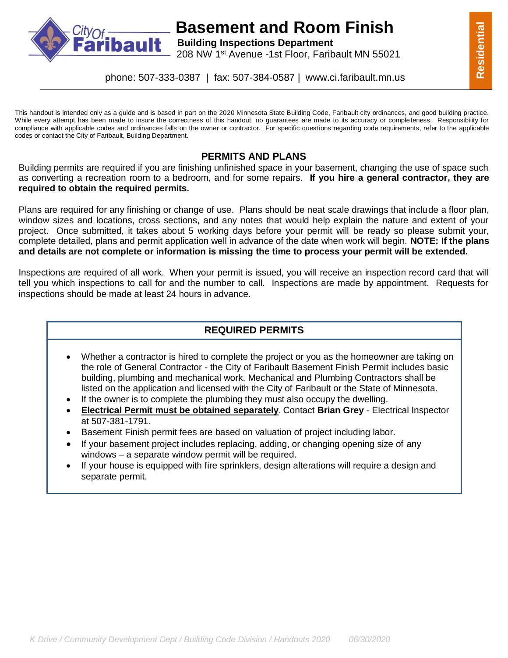

## **Basement and Room Finish Building Inspections Department**

**Dault** Building Inspections Department<br>208 NW 1<sup>st</sup> Avenue -1st Floor, Faribault MN 55021

This handout is intended only as a guide and is based in part on the 2020 Minnesota State Building Code, Faribault city ordinances, and good building practice. While every attempt has been made to insure the correctness of this handout, no guarantees are made to its accuracy or completeness. Responsibility for compliance with applicable codes and ordinances falls on the owner or contractor. For specific questions regarding code requirements, refer to the applicable codes or contact the City of Faribault, Building Department.

#### **PERMITS AND PLANS**

Building permits are required if you are finishing unfinished space in your basement, changing the use of space such as converting a recreation room to a bedroom, and for some repairs. **If you hire a general contractor, they are required to obtain the required permits.**

Plans are required for any finishing or change of use. Plans should be neat scale drawings that include a floor plan, window sizes and locations, cross sections, and any notes that would help explain the nature and extent of your project. Once submitted, it takes about 5 working days before your permit will be ready so please submit your, complete detailed, plans and permit application well in advance of the date when work will begin. **NOTE: If the plans and details are not complete or information is missing the time to process your permit will be extended.**

Inspections are required of all work. When your permit is issued, you will receive an inspection record card that will tell you which inspections to call for and the number to call. Inspections are made by appointment. Requests for inspections should be made at least 24 hours in advance.

### **REQUIRED PERMITS**

- Whether a contractor is hired to complete the project or you as the homeowner are taking on the role of General Contractor - the City of Faribault Basement Finish Permit includes basic building, plumbing and mechanical work. Mechanical and Plumbing Contractors shall be listed on the application and licensed with the City of Faribault or the State of Minnesota.
- If the owner is to complete the plumbing they must also occupy the dwelling.
- **Electrical Permit must be obtained separately**. Contact **Brian Grey** Electrical Inspector at 507-381-1791.
- Basement Finish permit fees are based on valuation of project including labor.
- If your basement project includes replacing, adding, or changing opening size of any windows – a separate window permit will be required.
- If your house is equipped with fire sprinklers, design alterations will require a design and separate permit.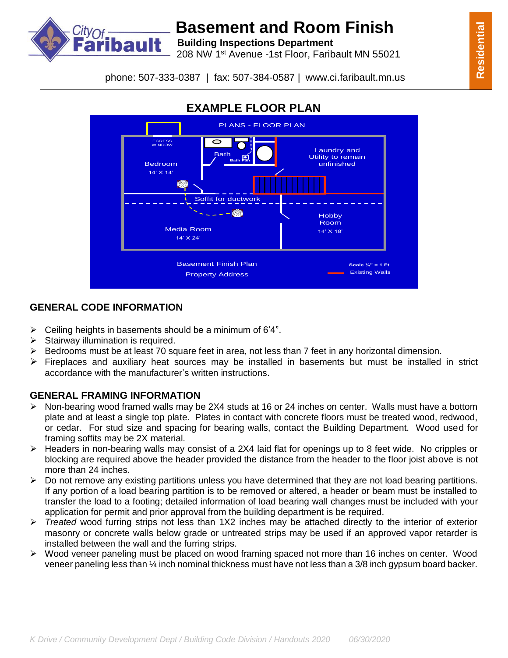



# **Basement and Room Finish**<br>**bault** Building Inspections Department

**Building Inspections Department**

208 NW 1st Avenue -1st Floor, Faribault MN 55021

phone: 507-333-0387 | fax: 507-384-0587 | www.ci.faribault.mn.us



### **GENERAL CODE INFORMATION**

- $\triangleright$  Ceiling heights in basements should be a minimum of 6'4".
- $\triangleright$  Stairway illumination is required.
- Bedrooms must be at least 70 square feet in area, not less than 7 feet in any horizontal dimension.
- $\triangleright$  Fireplaces and auxiliary heat sources may be installed in basements but must be installed in strict accordance with the manufacturer's written instructions.

### **GENERAL FRAMING INFORMATION**

- Non-bearing wood framed walls may be 2X4 studs at 16 or 24 inches on center. Walls must have a bottom plate and at least a single top plate. Plates in contact with concrete floors must be treated wood, redwood, or cedar. For stud size and spacing for bearing walls, contact the Building Department. Wood used for framing soffits may be 2X material.
- $\triangleright$  Headers in non-bearing walls may consist of a 2X4 laid flat for openings up to 8 feet wide. No cripples or blocking are required above the header provided the distance from the header to the floor joist above is not more than 24 inches.
- $\triangleright$  Do not remove any existing partitions unless you have determined that they are not load bearing partitions. If any portion of a load bearing partition is to be removed or altered, a header or beam must be installed to transfer the load to a footing; detailed information of load bearing wall changes must be included with your application for permit and prior approval from the building department is be required.
- *Treated* wood furring strips not less than 1X2 inches may be attached directly to the interior of exterior masonry or concrete walls below grade or untreated strips may be used if an approved vapor retarder is installed between the wall and the furring strips.
- $\triangleright$  Wood veneer paneling must be placed on wood framing spaced not more than 16 inches on center. Wood veneer paneling less than ¼ inch nominal thickness must have not less than a 3/8 inch gypsum board backer.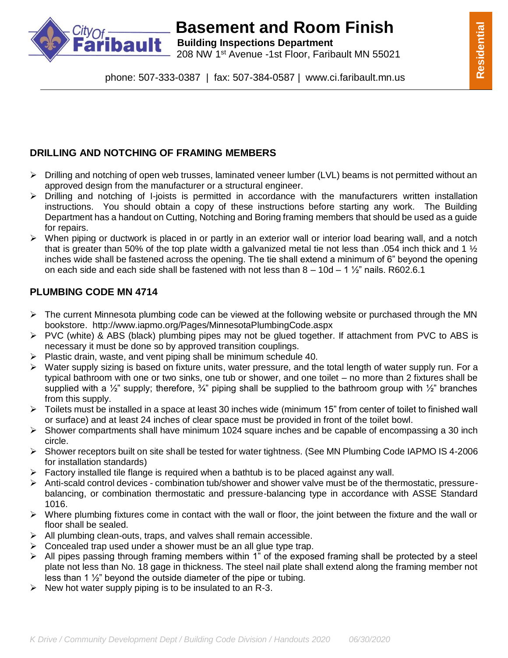

# **Basement and Room Finish**<br>**bault** Building Inspections Department

**Building Inspections Department** 208 NW 1st Avenue -1st Floor, Faribault MN 55021

phone: 507-333-0387 | fax: 507-384-0587 | www.ci.faribault.mn.us

### **DRILLING AND NOTCHING OF FRAMING MEMBERS**

- $\triangleright$  Drilling and notching of open web trusses, laminated veneer lumber (LVL) beams is not permitted without an approved design from the manufacturer or a structural engineer.
- $\triangleright$  Drilling and notching of I-joists is permitted in accordance with the manufacturers written installation instructions. You should obtain a copy of these instructions before starting any work. The Building Department has a handout on Cutting, Notching and Boring framing members that should be used as a guide for repairs.
- $\triangleright$  When piping or ductwork is placed in or partly in an exterior wall or interior load bearing wall, and a notch that is greater than 50% of the top plate width a galvanized metal tie not less than .054 inch thick and 1  $\frac{1}{2}$ inches wide shall be fastened across the opening. The tie shall extend a minimum of 6" beyond the opening on each side and each side shall be fastened with not less than  $8 - 10d - 1\frac{1}{2}$  nails. R602.6.1

### **PLUMBING CODE MN 4714**

- $\triangleright$  The current Minnesota plumbing code can be viewed at the following website or purchased through the MN bookstore. http://www.iapmo.org/Pages/MinnesotaPlumbingCode.aspx
- $\triangleright$  PVC (white) & ABS (black) plumbing pipes may not be glued together. If attachment from PVC to ABS is necessary it must be done so by approved transition couplings.
- $\triangleright$  Plastic drain, waste, and vent piping shall be minimum schedule 40.
- Water supply sizing is based on fixture units, water pressure, and the total length of water supply run. For a typical bathroom with one or two sinks, one tub or shower, and one toilet – no more than 2 fixtures shall be supplied with a  $\frac{1}{2}$ " supply; therefore,  $\frac{3}{4}$ " piping shall be supplied to the bathroom group with  $\frac{1}{2}$ " branches from this supply.
- $\triangleright$  Toilets must be installed in a space at least 30 inches wide (minimum 15" from center of toilet to finished wall or surface) and at least 24 inches of clear space must be provided in front of the toilet bowl.
- $\triangleright$  Shower compartments shall have minimum 1024 square inches and be capable of encompassing a 30 inch circle.
- Shower receptors built on site shall be tested for water tightness. (See MN Plumbing Code IAPMO IS 4-2006 for installation standards)
- $\triangleright$  Factory installed tile flange is required when a bathtub is to be placed against any wall.
- $\triangleright$  Anti-scald control devices combination tub/shower and shower valve must be of the thermostatic, pressurebalancing, or combination thermostatic and pressure-balancing type in accordance with ASSE Standard 1016.
- $\triangleright$  Where plumbing fixtures come in contact with the wall or floor, the joint between the fixture and the wall or floor shall be sealed.
- $\triangleright$  All plumbing clean-outs, traps, and valves shall remain accessible.
- $\triangleright$  Concealed trap used under a shower must be an all glue type trap.
- $\triangleright$  All pipes passing through framing members within 1" of the exposed framing shall be protected by a steel plate not less than No. 18 gage in thickness. The steel nail plate shall extend along the framing member not less than 1 ½" beyond the outside diameter of the pipe or tubing.
- $\triangleright$  New hot water supply piping is to be insulated to an R-3.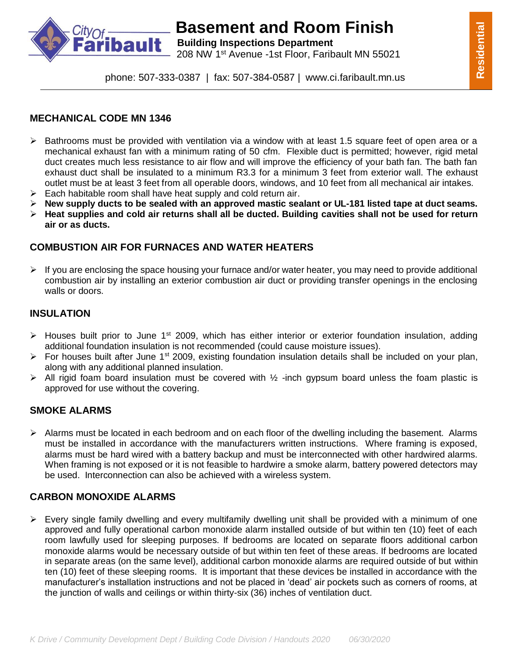

# **Basement and Room Finish Basement and Room Finish**

**Building Inspections Department** 208 NW 1st Avenue -1st Floor, Faribault MN 55021

phone: 507-333-0387 | fax: 507-384-0587 | www.ci.faribault.mn.us

#### **MECHANICAL CODE MN 1346**

- $\triangleright$  Bathrooms must be provided with ventilation via a window with at least 1.5 square feet of open area or a mechanical exhaust fan with a minimum rating of 50 cfm. Flexible duct is permitted; however, rigid metal duct creates much less resistance to air flow and will improve the efficiency of your bath fan. The bath fan exhaust duct shall be insulated to a minimum R3.3 for a minimum 3 feet from exterior wall. The exhaust outlet must be at least 3 feet from all operable doors, windows, and 10 feet from all mechanical air intakes.
- $\triangleright$  Each habitable room shall have heat supply and cold return air.
- **New supply ducts to be sealed with an approved mastic sealant or UL-181 listed tape at duct seams.**
- **Heat supplies and cold air returns shall all be ducted. Building cavities shall not be used for return air or as ducts.**

#### **COMBUSTION AIR FOR FURNACES AND WATER HEATERS**

 $\triangleright$  If you are enclosing the space housing your furnace and/or water heater, you may need to provide additional combustion air by installing an exterior combustion air duct or providing transfer openings in the enclosing walls or doors.

#### **INSULATION**

- > Houses built prior to June 1<sup>st</sup> 2009, which has either interior or exterior foundation insulation, adding additional foundation insulation is not recommended (could cause moisture issues).
- $\triangleright$  For houses built after June 1<sup>st</sup> 2009, existing foundation insulation details shall be included on your plan, along with any additional planned insulation.
- $\triangleright$  All rigid foam board insulation must be covered with  $\frac{1}{2}$  -inch gypsum board unless the foam plastic is approved for use without the covering.

### **SMOKE ALARMS**

 $\triangleright$  Alarms must be located in each bedroom and on each floor of the dwelling including the basement. Alarms must be installed in accordance with the manufacturers written instructions. Where framing is exposed, alarms must be hard wired with a battery backup and must be interconnected with other hardwired alarms. When framing is not exposed or it is not feasible to hardwire a smoke alarm, battery powered detectors may be used. Interconnection can also be achieved with a wireless system.

#### **CARBON MONOXIDE ALARMS**

 $\triangleright$  Every single family dwelling and every multifamily dwelling unit shall be provided with a minimum of one approved and fully operational carbon monoxide alarm installed outside of but within ten (10) feet of each room lawfully used for sleeping purposes. If bedrooms are located on separate floors additional carbon monoxide alarms would be necessary outside of but within ten feet of these areas. If bedrooms are located in separate areas (on the same level), additional carbon monoxide alarms are required outside of but within ten (10) feet of these sleeping rooms. It is important that these devices be installed in accordance with the manufacturer's installation instructions and not be placed in 'dead' air pockets such as corners of rooms, at the junction of walls and ceilings or within thirty-six (36) inches of ventilation duct.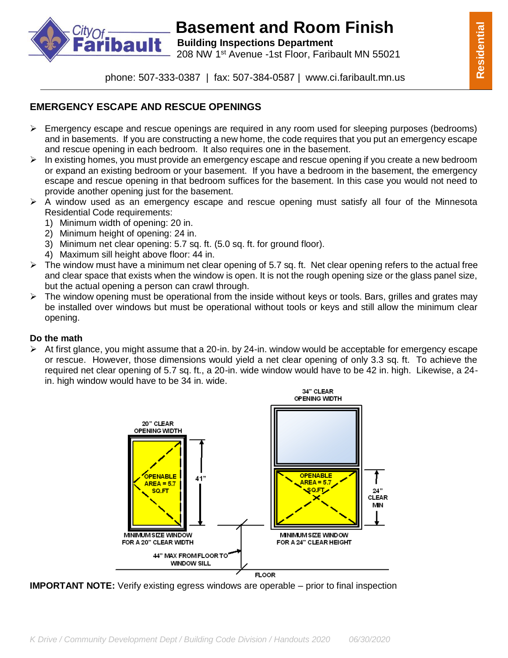

# **Basement and Room Finish<br><b>bault** Building Inspections Department

**Building Inspections Department** 208 NW 1st Avenue -1st Floor, Faribault MN 55021

**Residential**

Residential

### **EMERGENCY ESCAPE AND RESCUE OPENINGS**

- $\triangleright$  Emergency escape and rescue openings are required in any room used for sleeping purposes (bedrooms) and in basements. If you are constructing a new home, the code requires that you put an emergency escape and rescue opening in each bedroom. It also requires one in the basement.
- $\triangleright$  In existing homes, you must provide an emergency escape and rescue opening if you create a new bedroom or expand an existing bedroom or your basement. If you have a bedroom in the basement, the emergency escape and rescue opening in that bedroom suffices for the basement. In this case you would not need to provide another opening just for the basement.
- $\triangleright$  A window used as an emergency escape and rescue opening must satisfy all four of the Minnesota Residential Code requirements:
	- 1) Minimum width of opening: 20 in.
	- 2) Minimum height of opening: 24 in.
	- 3) Minimum net clear opening: 5.7 sq. ft. (5.0 sq. ft. for ground floor).
	- 4) Maximum sill height above floor: 44 in.
- $\triangleright$  The window must have a minimum net clear opening of 5.7 sq. ft. Net clear opening refers to the actual free and clear space that exists when the window is open. It is not the rough opening size or the glass panel size, but the actual opening a person can crawl through.
- $\triangleright$  The window opening must be operational from the inside without keys or tools. Bars, grilles and grates may be installed over windows but must be operational without tools or keys and still allow the minimum clear opening.

#### **Do the math**

 $\triangleright$  At first glance, you might assume that a 20-in. by 24-in. window would be acceptable for emergency escape or rescue. However, those dimensions would yield a net clear opening of only 3.3 sq. ft. To achieve the required net clear opening of 5.7 sq. ft., a 20-in. wide window would have to be 42 in. high. Likewise, a 24 in. high window would have to be 34 in. wide.



**IMPORTANT NOTE:** Verify existing egress windows are operable – prior to final inspection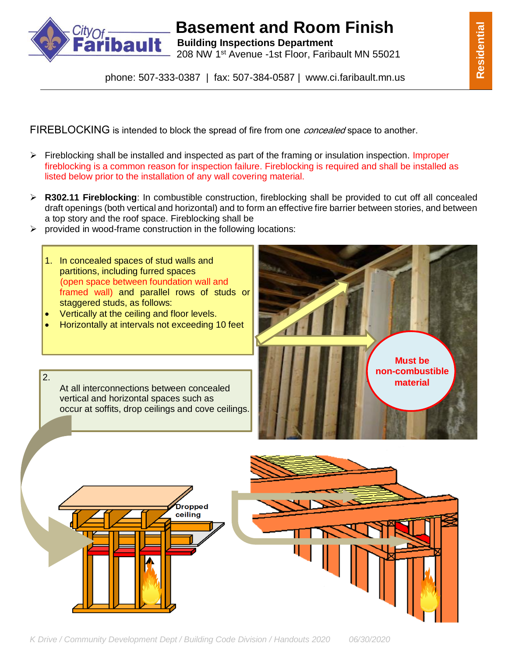

# **Basement and Room Finish<br><b>bault** Building Inspections Department

**Building Inspections Department** 208 NW 1st Avenue -1st Floor, Faribault MN 55021

phone: 507-333-0387 | fax: 507-384-0587 | www.ci.faribault.mn.us

FIREBLOCKING is intended to block the spread of fire from one *concealed* space to another.

- $\triangleright$  Fireblocking shall be installed and inspected as part of the framing or insulation inspection. Improper fireblocking is a common reason for inspection failure. Fireblocking is required and shall be installed as listed below prior to the installation of any wall covering material.
- **R302.11 Fireblocking**: In combustible construction, fireblocking shall be provided to cut off all concealed draft openings (both vertical and horizontal) and to form an effective fire barrier between stories, and between a top story and the roof space. Fireblocking shall be
- $\triangleright$  provided in wood-frame construction in the following locations:
	- 1. In concealed spaces of stud walls and partitions, including furred spaces (open space between foundation wall and framed wall) and parallel rows of studs or staggered studs, as follows:
	- Vertically at the ceiling and floor levels.

2.

Horizontally at intervals not exceeding 10 feet

At all interconnections between concealed vertical and horizontal spaces such as

occur at soffits, drop ceilings and cove ceilings.